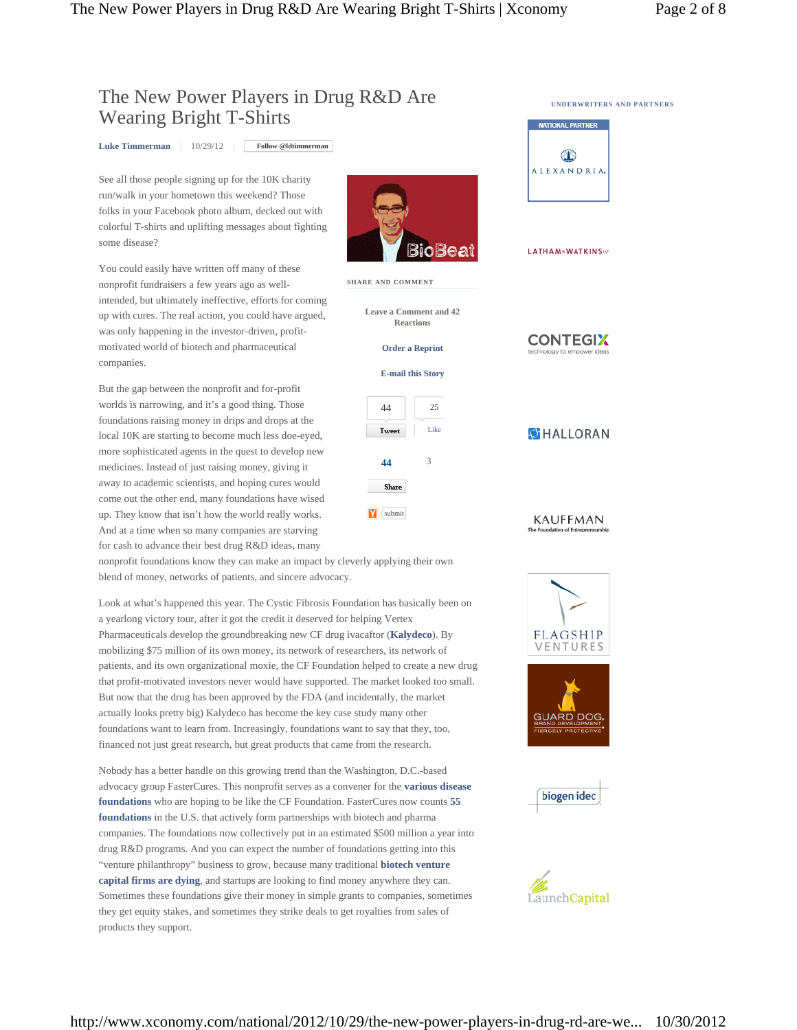**SHARE AND COMMENT**

**Y** submit

Share

**Tweet** 

**Leave a Comment and 42 Reactions Order a Reprint** 

**E-mail this Story** 

44 25

**44** 3

Like

## The New Power Players in Drug R&D Are Wearing Bright T-Shirts

**Luke Timmerman** 10/29/12 **Follow @ldtimmerman**

See all those people signing up for the 10K charity run/walk in your hometown this weekend? Those folks in your Facebook photo album, decked out with colorful T-shirts and uplifting messages about fighting some disease?

You could easily have written off many of these nonprofit fundraisers a few years ago as wellintended, but ultimately ineffective, efforts for coming up with cures. The real action, you could have argued, was only happening in the investor-driven, profitmotivated world of biotech and pharmaceutical companies.

But the gap between the nonprofit and for-profit worlds is narrowing, and it's a good thing. Those foundations raising money in drips and drops at the local 10K are starting to become much less doe-eyed, more sophisticated agents in the quest to develop new medicines. Instead of just raising money, giving it away to academic scientists, and hoping cures would come out the other end, many foundations have wised up. They know that isn't how the world really works. And at a time when so many companies are starving for cash to advance their best drug R&D ideas, many

nonprofit foundations know they can make an impact by cleverly applying their own blend of money, networks of patients, and sincere advocacy.

Look at what's happened this year. The Cystic Fibrosis Foundation has basically been on a yearlong victory tour, after it got the credit it deserved for helping Vertex Pharmaceuticals develop the groundbreaking new CF drug ivacaftor (**Kalydeco**). By mobilizing \$75 million of its own money, its network of researchers, its network of patients, and its own organizational moxie, the CF Foundation helped to create a new drug that profit-motivated investors never would have supported. The market looked too small. But now that the drug has been approved by the FDA (and incidentally, the market actually looks pretty big) Kalydeco has become the key case study many other foundations want to learn from. Increasingly, foundations want to say that they, too, financed not just great research, but great products that came from the research.

Nobody has a better handle on this growing trend than the Washington, D.C.-based advocacy group FasterCures. This nonprofit serves as a convener for the **various disease foundations** who are hoping to be like the CF Foundation. FasterCures now counts **55 foundations** in the U.S. that actively form partnerships with biotech and pharma companies. The foundations now collectively put in an estimated \$500 million a year into drug R&D programs. And you can expect the number of foundations getting into this "venture philanthropy" business to grow, because many traditional **biotech venture capital firms are dying**, and startups are looking to find money anywhere they can. Sometimes these foundations give their money in simple grants to companies, sometimes they get equity stakes, and sometimes they strike deals to get royalties from sales of products they support.

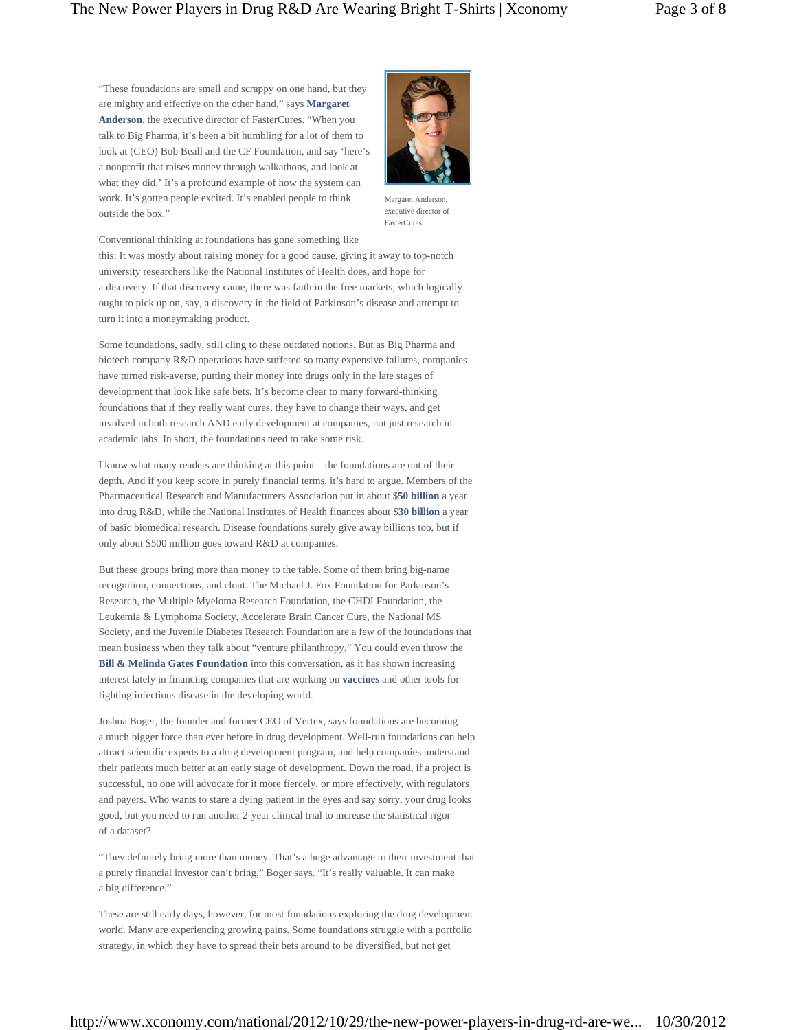"These foundations are small and scrappy on one hand, but they are mighty and effective on the other hand," says **Margaret Anderson**, the executive director of FasterCures. "When you talk to Big Pharma, it's been a bit humbling for a lot of them to look at (CEO) Bob Beall and the CF Foundation, and say 'here's a nonprofit that raises money through walkathons, and look at what they did.' It's a profound example of how the system can work. It's gotten people excited. It's enabled people to think outside the box."



Margaret Anderson, executive director of FasterCures

Conventional thinking at foundations has gone something like this: It was mostly about raising money for a good cause, giving it away to top-notch university researchers like the National Institutes of Health does, and hope for a discovery. If that discovery came, there was faith in the free markets, which logically ought to pick up on, say, a discovery in the field of Parkinson's disease and attempt to turn it into a moneymaking product.

Some foundations, sadly, still cling to these outdated notions. But as Big Pharma and biotech company R&D operations have suffered so many expensive failures, companies have turned risk-averse, putting their money into drugs only in the late stages of development that look like safe bets. It's become clear to many forward-thinking foundations that if they really want cures, they have to change their ways, and get involved in both research AND early development at companies, not just research in academic labs. In short, the foundations need to take some risk.

I know what many readers are thinking at this point—the foundations are out of their depth. And if you keep score in purely financial terms, it's hard to argue. Members of the Pharmaceutical Research and Manufacturers Association put in about \$**50 billion** a year into drug R&D, while the National Institutes of Health finances about \$**30 billion** a year of basic biomedical research. Disease foundations surely give away billions too, but if only about \$500 million goes toward R&D at companies.

But these groups bring more than money to the table. Some of them bring big-name recognition, connections, and clout. The Michael J. Fox Foundation for Parkinson's Research, the Multiple Myeloma Research Foundation, the CHDI Foundation, the Leukemia & Lymphoma Society, Accelerate Brain Cancer Cure, the National MS Society, and the Juvenile Diabetes Research Foundation are a few of the foundations that mean business when they talk about "venture philanthropy." You could even throw the **Bill & Melinda Gates Foundation** into this conversation, as it has shown increasing interest lately in financing companies that are working on **vaccines** and other tools for fighting infectious disease in the developing world.

Joshua Boger, the founder and former CEO of Vertex, says foundations are becoming a much bigger force than ever before in drug development. Well-run foundations can help attract scientific experts to a drug development program, and help companies understand their patients much better at an early stage of development. Down the road, if a project is successful, no one will advocate for it more fiercely, or more effectively, with regulators and payers. Who wants to stare a dying patient in the eyes and say sorry, your drug looks good, but you need to run another 2-year clinical trial to increase the statistical rigor of a dataset?

"They definitely bring more than money. That's a huge advantage to their investment that a purely financial investor can't bring," Boger says. "It's really valuable. It can make a big difference."

These are still early days, however, for most foundations exploring the drug development world. Many are experiencing growing pains. Some foundations struggle with a portfolio strategy, in which they have to spread their bets around to be diversified, but not get